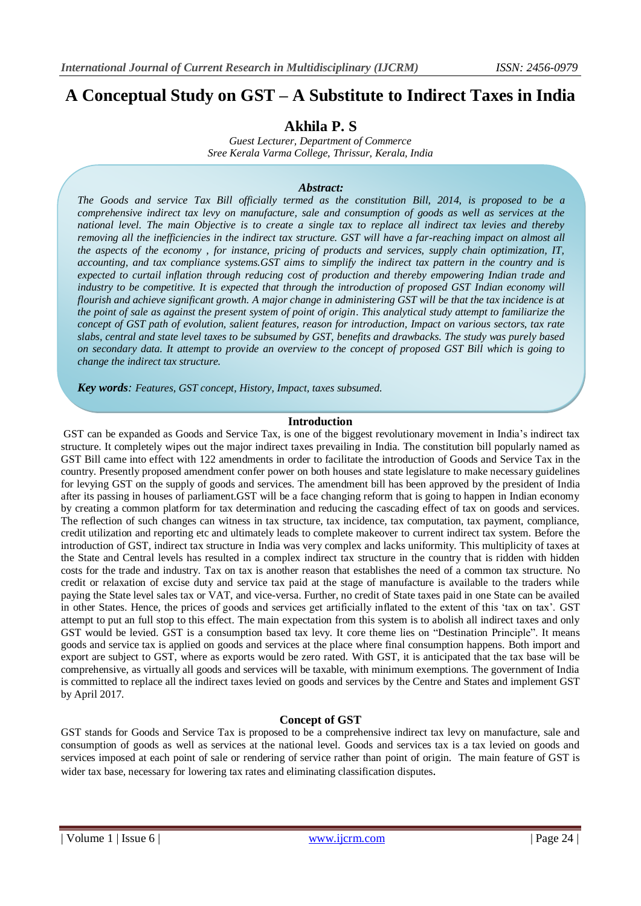# **A Conceptual Study on GST – A Substitute to Indirect Taxes in India**

## **Akhila P. S**

*Guest Lecturer, Department of Commerce Sree Kerala Varma College, Thrissur, Kerala, India*

#### *Abstract:*

*The Goods and service Tax Bill officially termed as the constitution Bill, 2014, is proposed to be a comprehensive indirect tax levy on manufacture, sale and consumption of goods as well as services at the national level. The main Objective is to create a single tax to replace all indirect tax levies and thereby removing all the inefficiencies in the indirect tax structure. GST will have a far-reaching impact on almost all the aspects of the economy , for instance, pricing of products and services, supply chain optimization, IT, accounting, and tax compliance systems.GST aims to simplify the indirect tax pattern in the country and is expected to curtail inflation through reducing cost of production and thereby empowering Indian trade and*  industry to be competitive. It is expected that through the introduction of proposed GST Indian economy will *flourish and achieve significant growth. A major change in administering GST will be that the tax incidence is at the point of sale as against the present system of point of origin*. *This analytical study attempt to familiarize the concept of GST path of evolution, salient features, reason for introduction, Impact on various sectors, tax rate slabs, central and state level taxes to be subsumed by GST, benefits and drawbacks. The study was purely based on secondary data. It attempt to provide an overview to the concept of proposed GST Bill which is going to change the indirect tax structure.*

*Key words: Features, GST concept, History, Impact, taxes subsumed.*

## **Introduction**

GST can be expanded as Goods and Service Tax, is one of the biggest revolutionary movement in India"s indirect tax structure. It completely wipes out the major indirect taxes prevailing in India. The constitution bill popularly named as GST Bill came into effect with 122 amendments in order to facilitate the introduction of Goods and Service Tax in the country. Presently proposed amendment confer power on both houses and state legislature to make necessary guidelines for levying GST on the supply of goods and services. The amendment bill has been approved by the president of India after its passing in houses of parliament.GST will be a face changing reform that is going to happen in Indian economy by creating a common platform for tax determination and reducing the cascading effect of tax on goods and services. The reflection of such changes can witness in tax structure, tax incidence, tax computation, tax payment, compliance, credit utilization and reporting etc and ultimately leads to complete makeover to current indirect tax system. Before the introduction of GST, indirect tax structure in India was very complex and lacks uniformity. This multiplicity of taxes at the State and Central levels has resulted in a complex indirect tax structure in the country that is ridden with hidden costs for the trade and industry. Tax on tax is another reason that establishes the need of a common tax structure. No credit or relaxation of excise duty and service tax paid at the stage of manufacture is available to the traders while paying the State level sales tax or VAT, and vice-versa. Further, no credit of State taxes paid in one State can be availed in other States. Hence, the prices of goods and services get artificially inflated to the extent of this "tax on tax". GST attempt to put an full stop to this effect. The main expectation from this system is to abolish all indirect taxes and only GST would be levied. GST is a consumption based tax levy. It core theme lies on "Destination Principle". It means goods and service tax is applied on goods and services at the place where final consumption happens. Both import and export are subject to GST, where as exports would be zero rated. With GST, it is anticipated that the tax base will be comprehensive, as virtually all goods and services will be taxable, with minimum exemptions. The government of India is committed to replace all the indirect taxes levied on goods and services by the Centre and States and implement GST by April 2017.

## **Concept of GST**

GST stands for Goods and Service Tax is proposed to be a comprehensive indirect tax levy on manufacture, sale and consumption of goods as well as services at the national level. Goods and services tax is a tax levied on goods and services imposed at each point of sale or rendering of service rather than point of origin. The main feature of GST is wider tax base, necessary for lowering tax rates and eliminating classification disputes.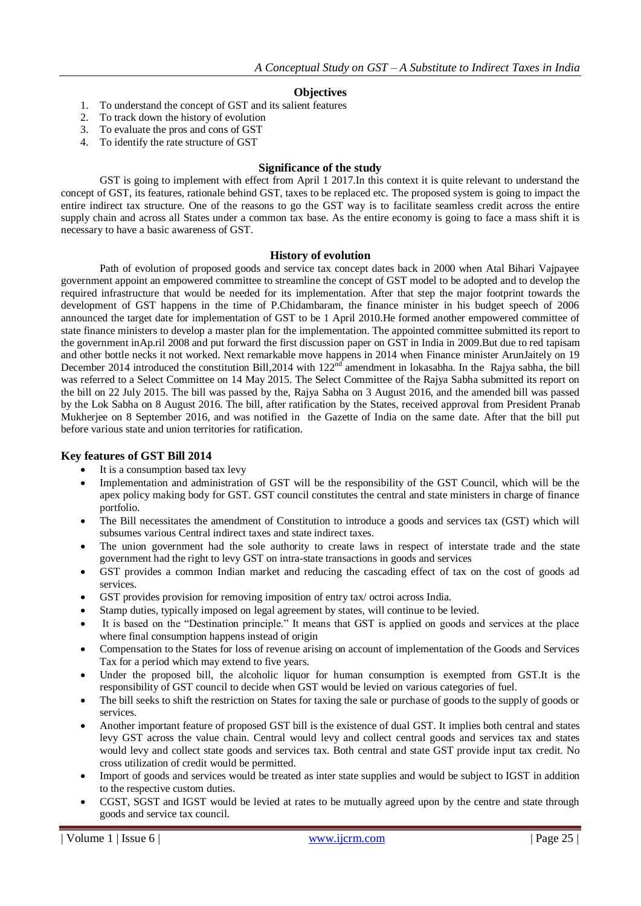## **Objectives**

- 1. To understand the concept of GST and its salient features
- 2. To track down the history of evolution
- 3. To evaluate the pros and cons of GST
- 4. To identify the rate structure of GST

#### **Significance of the study**

GST is going to implement with effect from April 1 2017.In this context it is quite relevant to understand the concept of GST, its features, rationale behind GST, taxes to be replaced etc. The proposed system is going to impact the entire indirect tax structure. One of the reasons to go the GST way is to facilitate seamless credit across the entire supply chain and across all States under a common tax base. As the entire economy is going to face a mass shift it is necessary to have a basic awareness of GST.

#### **History of evolution**

Path of evolution of proposed goods and service tax concept dates back in 2000 when Atal Bihari Vajpayee government appoint an empowered committee to streamline the concept of GST model to be adopted and to develop the required infrastructure that would be needed for its implementation. After that step the major footprint towards the development of GST happens in the time of P.Chidambaram, the finance minister in his budget speech of 2006 announced the target date for implementation of GST to be 1 April 2010.He formed another empowered committee of state finance ministers to develop a master plan for the implementation. The appointed committee submitted its report to the government inAp.ril 2008 and put forward the first discussion paper on GST in India in 2009.But due to red tapisam and other bottle necks it not worked. Next remarkable move happens in 2014 when Finance minister ArunJaitely on 19 December 2014 introduced the constitution Bill, 2014 with  $122<sup>nd</sup>$  amendment in lokasabha. In the Rajya sabha, the bill was referred to a Select Committee on 14 May 2015. The Select Committee of the Rajya Sabha submitted its report on the bill on 22 July 2015. The bill was passed by the, Rajya Sabha on 3 August 2016, and the amended bill was passed by the Lok Sabha on 8 August 2016. The bill, after ratification by the States, received approval from President Pranab Mukherjee on 8 September 2016, and was notified in the Gazette of India on the same date. After that the bill put before various state and union territories for ratification.

#### **Key features of GST Bill 2014**

- It is a consumption based tax levy
- Implementation and administration of GST will be the responsibility of the GST Council, which will be the apex policy making body for GST. GST council constitutes the central and state ministers in charge of finance portfolio.
- The Bill necessitates the amendment of Constitution to introduce a goods and services tax (GST) which will subsumes various Central indirect taxes and state indirect taxes.
- The union government had the sole authority to create laws in respect of interstate trade and the state government had the right to levy GST on intra-state transactions in goods and services
- GST provides a common Indian market and reducing the cascading effect of tax on the cost of goods ad services.
- GST provides provision for removing imposition of entry tax/ octroi across India.
- Stamp duties, typically imposed on legal agreement by states, will continue to be levied.
- It is based on the "Destination principle." It means that GST is applied on goods and services at the place where final consumption happens instead of origin
- Compensation to the States for loss of revenue arising on account of implementation of the Goods and Services Tax for a period which may extend to five years.
- Under the proposed bill, the alcoholic liquor for human consumption is exempted from GST.It is the responsibility of GST council to decide when GST would be levied on various categories of fuel.
- The bill seeks to shift the restriction on States for taxing the sale or purchase of goods to the supply of goods or services.
- Another important feature of proposed GST bill is the existence of dual GST. It implies both central and states levy GST across the value chain. Central would levy and collect central goods and services tax and states would levy and collect state goods and services tax. Both central and state GST provide input tax credit. No cross utilization of credit would be permitted.
- Import of goods and services would be treated as inter state supplies and would be subject to IGST in addition to the respective custom duties.
- CGST, SGST and IGST would be levied at rates to be mutually agreed upon by the centre and state through goods and service tax council.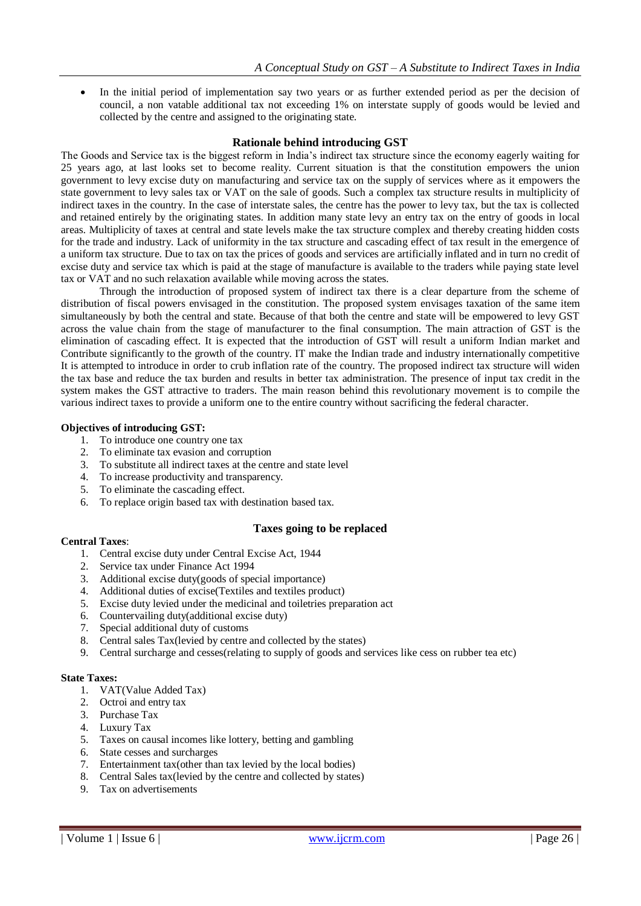In the initial period of implementation say two years or as further extended period as per the decision of council, a non vatable additional tax not exceeding 1% on interstate supply of goods would be levied and collected by the centre and assigned to the originating state.

#### **Rationale behind introducing GST**

The Goods and Service tax is the biggest reform in India"s indirect tax structure since the economy eagerly waiting for 25 years ago, at last looks set to become reality. Current situation is that the constitution empowers the union government to levy excise duty on manufacturing and service tax on the supply of services where as it empowers the state government to levy sales tax or VAT on the sale of goods. Such a complex tax structure results in multiplicity of indirect taxes in the country. In the case of interstate sales, the centre has the power to levy tax, but the tax is collected and retained entirely by the originating states. In addition many state levy an entry tax on the entry of goods in local areas. Multiplicity of taxes at central and state levels make the tax structure complex and thereby creating hidden costs for the trade and industry. Lack of uniformity in the tax structure and cascading effect of tax result in the emergence of a uniform tax structure. Due to tax on tax the prices of goods and services are artificially inflated and in turn no credit of excise duty and service tax which is paid at the stage of manufacture is available to the traders while paying state level tax or VAT and no such relaxation available while moving across the states.

Through the introduction of proposed system of indirect tax there is a clear departure from the scheme of distribution of fiscal powers envisaged in the constitution. The proposed system envisages taxation of the same item simultaneously by both the central and state. Because of that both the centre and state will be empowered to levy GST across the value chain from the stage of manufacturer to the final consumption. The main attraction of GST is the elimination of cascading effect. It is expected that the introduction of GST will result a uniform Indian market and Contribute significantly to the growth of the country. IT make the Indian trade and industry internationally competitive It is attempted to introduce in order to crub inflation rate of the country. The proposed indirect tax structure will widen the tax base and reduce the tax burden and results in better tax administration. The presence of input tax credit in the system makes the GST attractive to traders. The main reason behind this revolutionary movement is to compile the various indirect taxes to provide a uniform one to the entire country without sacrificing the federal character.

#### **Objectives of introducing GST:**

- 1. To introduce one country one tax
- 2. To eliminate tax evasion and corruption
- 3. To substitute all indirect taxes at the centre and state level
- 4. To increase productivity and transparency.
- 5. To eliminate the cascading effect.
- 6. To replace origin based tax with destination based tax.

#### **Taxes going to be replaced**

#### **Central Taxes**:

- 1. Central excise duty under Central Excise Act, 1944
- 2. Service tax under Finance Act 1994
- 3. Additional excise duty(goods of special importance)
- 4. Additional duties of excise(Textiles and textiles product)
- 5. Excise duty levied under the medicinal and toiletries preparation act
- 6. Countervailing duty(additional excise duty)
- 7. Special additional duty of customs
- 8. Central sales Tax(levied by centre and collected by the states)
- 9. Central surcharge and cesses(relating to supply of goods and services like cess on rubber tea etc)

#### **State Taxes:**

- 1. VAT(Value Added Tax)
- 2. Octroi and entry tax
- 3. Purchase Tax
- 4. Luxury Tax
- 5. Taxes on causal incomes like lottery, betting and gambling
- 6. State cesses and surcharges
- 7. Entertainment tax(other than tax levied by the local bodies)
- 8. Central Sales tax(levied by the centre and collected by states)
- 9. Tax on advertisements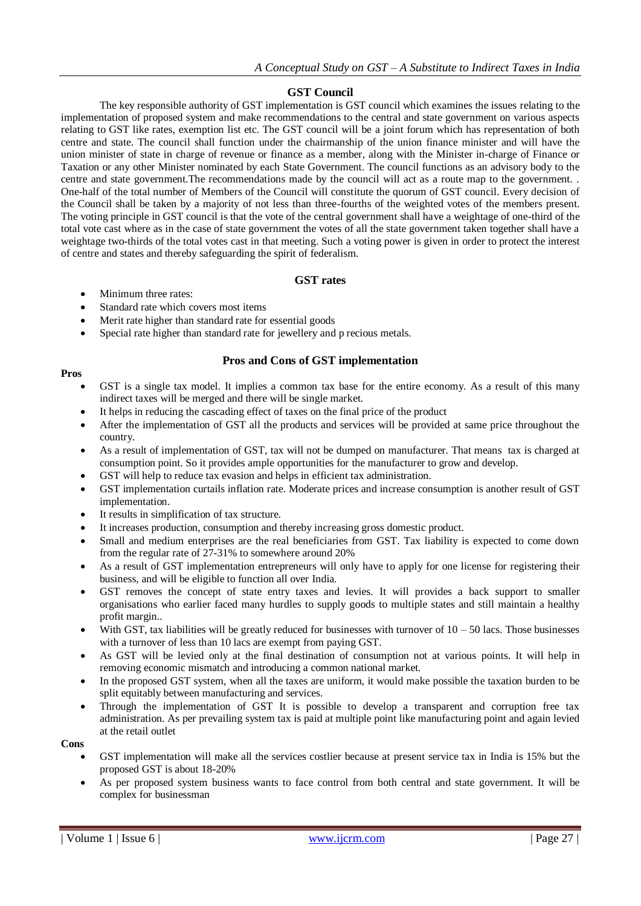## **GST Council**

The key responsible authority of GST implementation is GST council which examines the issues relating to the implementation of proposed system and make recommendations to the central and state government on various aspects relating to GST like rates, exemption list etc. The GST council will be a joint forum which has representation of both centre and state. The council shall function under the chairmanship of the union finance minister and will have the union minister of state in charge of revenue or finance as a member, along with the Minister in-charge of Finance or Taxation or any other Minister nominated by each State Government. The council functions as an advisory body to the centre and state government.The recommendations made by the council will act as a route map to the government. . One-half of the total number of Members of the Council will constitute the quorum of GST council. Every decision of the Council shall be taken by a majority of not less than three-fourths of the weighted votes of the members present. The voting principle in GST council is that the vote of the central government shall have a weightage of one-third of the total vote cast where as in the case of state government the votes of all the state government taken together shall have a weightage two-thirds of the total votes cast in that meeting. Such a voting power is given in order to protect the interest of centre and states and thereby safeguarding the spirit of federalism.

## **GST rates**

- Minimum three rates:
- Standard rate which covers most items
- Merit rate higher than standard rate for essential goods
- Special rate higher than standard rate for jewellery and p recious metals.

## **Pros and Cons of GST implementation**

#### **Pros**

- GST is a single tax model. It implies a common tax base for the entire economy. As a result of this many indirect taxes will be merged and there will be single market.
- It helps in reducing the cascading effect of taxes on the final price of the product
- After the implementation of GST all the products and services will be provided at same price throughout the country.
- As a result of implementation of GST, tax will not be dumped on manufacturer. That means tax is charged at consumption point. So it provides ample opportunities for the manufacturer to grow and develop.
- GST will help to reduce tax evasion and helps in efficient tax administration.
- GST implementation curtails inflation rate. Moderate prices and increase consumption is another result of GST implementation.
- It results in simplification of tax structure.
- It increases production, consumption and thereby increasing gross domestic product.
- Small and medium enterprises are the real beneficiaries from GST. Tax liability is expected to come down from the regular rate of 27-31% to somewhere around 20%
- As a result of GST implementation entrepreneurs will only have to apply for one license for registering their business, and will be eligible to function all over India.
- GST removes the concept of state entry taxes and levies. It will provides a back support to smaller organisations who earlier faced many hurdles to supply goods to multiple states and still maintain a healthy profit margin..
- With GST, tax liabilities will be greatly reduced for businesses with turnover of  $10 50$  lacs. Those businesses with a turnover of less than 10 lacs are exempt from paying GST.
- As GST will be levied only at the final destination of consumption not at various points. It will help in removing economic mismatch and introducing a common national market.
- In the proposed GST system, when all the taxes are uniform, it would make possible the taxation burden to be split equitably between manufacturing and services.
- Through the implementation of GST It is possible to develop a transparent and corruption free tax administration. As per prevailing system tax is paid at multiple point like manufacturing point and again levied at the retail outlet

**Cons**

- GST implementation will make all the services costlier because at present service tax in India is 15% but the proposed GST is about 18-20%
- As per proposed system business wants to face control from both central and state government. It will be complex for businessman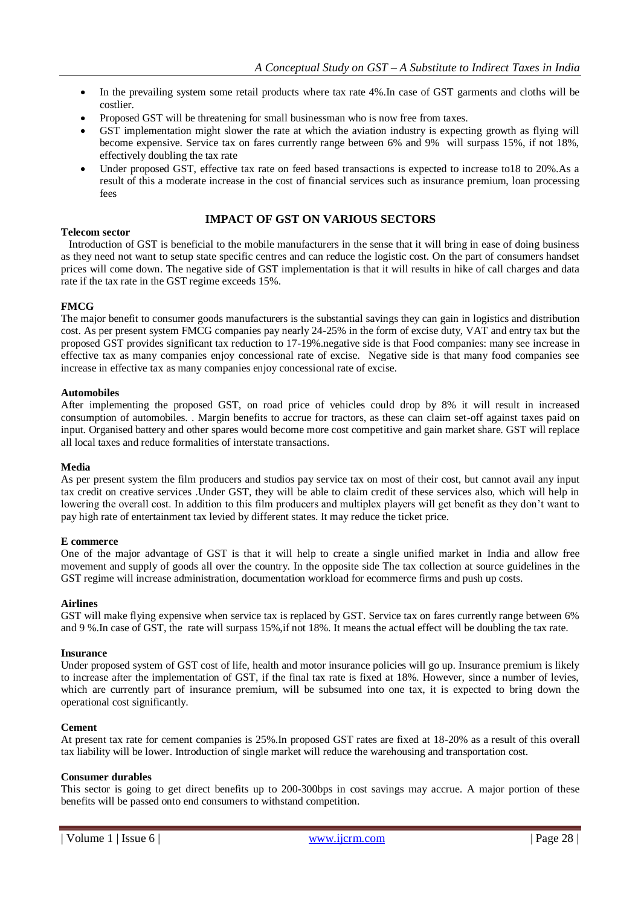- In the prevailing system some retail products where tax rate 4%. In case of GST garments and cloths will be costlier.
- Proposed GST will be threatening for small businessman who is now free from taxes.
- GST implementation might slower the rate at which the aviation industry is expecting growth as flying will become expensive. Service tax on fares currently range between 6% and 9% will surpass 15%, if not 18%, effectively doubling the tax rate
- Under proposed GST, effective tax rate on feed based transactions is expected to increase to18 to 20%.As a result of this a moderate increase in the cost of financial services such as insurance premium, loan processing fees

## **IMPACT OF GST ON VARIOUS SECTORS**

#### **Telecom sector**

 Introduction of GST is beneficial to the mobile manufacturers in the sense that it will bring in ease of doing business as they need not want to setup state specific centres and can reduce the logistic cost. On the part of consumers handset prices will come down. The negative side of GST implementation is that it will results in hike of call charges and data rate if the tax rate in the GST regime exceeds 15%.

#### **FMCG**

The major benefit to consumer goods manufacturers is the substantial savings they can gain in logistics and distribution cost. As per present system FMCG companies pay nearly 24-25% in the form of excise duty, VAT and entry tax but the proposed GST provides significant tax reduction to 17-19%.negative side is that Food companies: many see increase in effective tax as many companies enjoy concessional rate of excise. Negative side is that many food companies see increase in effective tax as many companies enjoy concessional rate of excise.

#### **Automobiles**

After implementing the proposed GST, on road price of vehicles could drop by 8% it will result in increased consumption of automobiles. . Margin benefits to accrue for tractors, as these can claim set-off against taxes paid on input. Organised battery and other spares would become more cost competitive and gain market share. GST will replace all local taxes and reduce formalities of interstate transactions.

#### **Media**

As per present system the film producers and studios pay service tax on most of their cost, but cannot avail any input tax credit on creative services .Under GST, they will be able to claim credit of these services also, which will help in lowering the overall cost. In addition to this film producers and multiplex players will get benefit as they don"t want to pay high rate of entertainment tax levied by different states. It may reduce the ticket price.

#### **E commerce**

One of the major advantage of GST is that it will help to create a single unified market in India and allow free movement and supply of goods all over the country. In the opposite side The tax collection at source guidelines in the GST regime will increase administration, documentation workload for ecommerce firms and push up costs.

#### **Airlines**

GST will make flying expensive when service tax is replaced by GST. Service tax on fares currently range between 6% and 9 %.In case of GST, the rate will surpass 15%,if not 18%. It means the actual effect will be doubling the tax rate.

#### **Insurance**

Under proposed system of GST cost of life, health and motor insurance policies will go up. Insurance premium is likely to increase after the implementation of GST, if the final tax rate is fixed at 18%. However, since a number of levies, which are currently part of insurance premium, will be subsumed into one tax, it is expected to bring down the operational cost significantly.

#### **Cement**

At present tax rate for cement companies is 25%.In proposed GST rates are fixed at 18-20% as a result of this overall tax liability will be lower. Introduction of single market will reduce the warehousing and transportation cost.

#### **Consumer durables**

This sector is going to get direct benefits up to 200-300bps in cost savings may accrue. A major portion of these benefits will be passed onto end consumers to withstand competition.